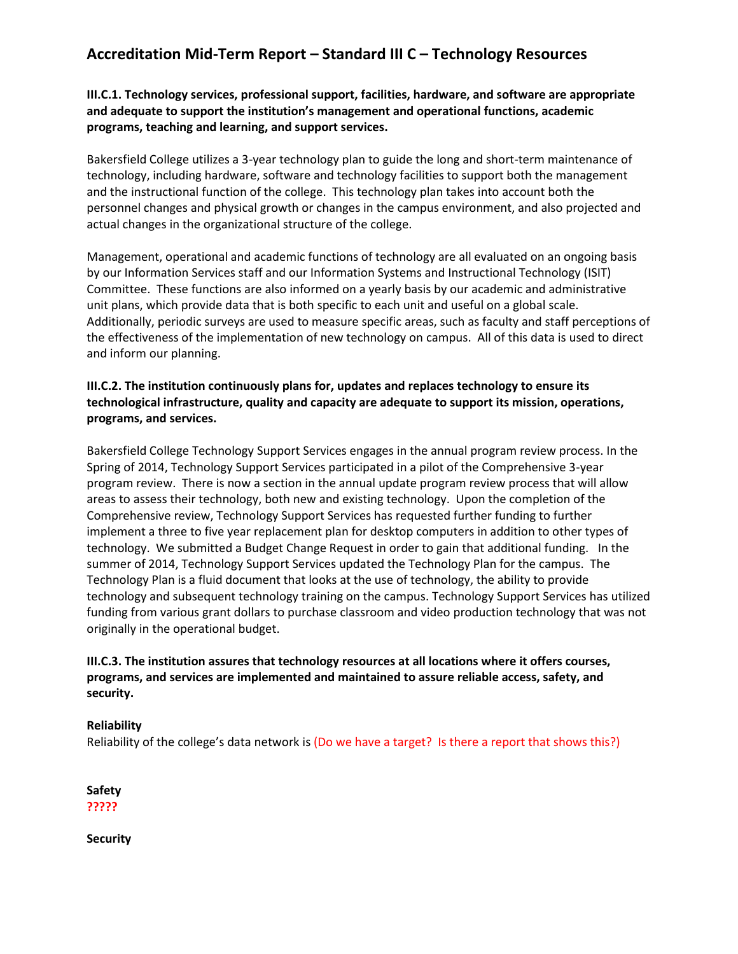# **Accreditation Mid-Term Report – Standard III C – Technology Resources**

# **III.C.1. Technology services, professional support, facilities, hardware, and software are appropriate and adequate to support the institution's management and operational functions, academic programs, teaching and learning, and support services.**

Bakersfield College utilizes a 3-year technology plan to guide the long and short-term maintenance of technology, including hardware, software and technology facilities to support both the management and the instructional function of the college. This technology plan takes into account both the personnel changes and physical growth or changes in the campus environment, and also projected and actual changes in the organizational structure of the college.

Management, operational and academic functions of technology are all evaluated on an ongoing basis by our Information Services staff and our Information Systems and Instructional Technology (ISIT) Committee. These functions are also informed on a yearly basis by our academic and administrative unit plans, which provide data that is both specific to each unit and useful on a global scale. Additionally, periodic surveys are used to measure specific areas, such as faculty and staff perceptions of the effectiveness of the implementation of new technology on campus. All of this data is used to direct and inform our planning.

# **III.C.2. The institution continuously plans for, updates and replaces technology to ensure its technological infrastructure, quality and capacity are adequate to support its mission, operations, programs, and services.**

Bakersfield College Technology Support Services engages in the annual program review process. In the Spring of 2014, Technology Support Services participated in a pilot of the Comprehensive 3-year program review. There is now a section in the annual update program review process that will allow areas to assess their technology, both new and existing technology. Upon the completion of the Comprehensive review, Technology Support Services has requested further funding to further implement a three to five year replacement plan for desktop computers in addition to other types of technology. We submitted a Budget Change Request in order to gain that additional funding. In the summer of 2014, Technology Support Services updated the Technology Plan for the campus. The Technology Plan is a fluid document that looks at the use of technology, the ability to provide technology and subsequent technology training on the campus. Technology Support Services has utilized funding from various grant dollars to purchase classroom and video production technology that was not originally in the operational budget.

# **III.C.3. The institution assures that technology resources at all locations where it offers courses, programs, and services are implemented and maintained to assure reliable access, safety, and security.**

#### **Reliability**

Reliability of the college's data network is (Do we have a target? Is there a report that shows this?)

**Safety ?????**

**Security**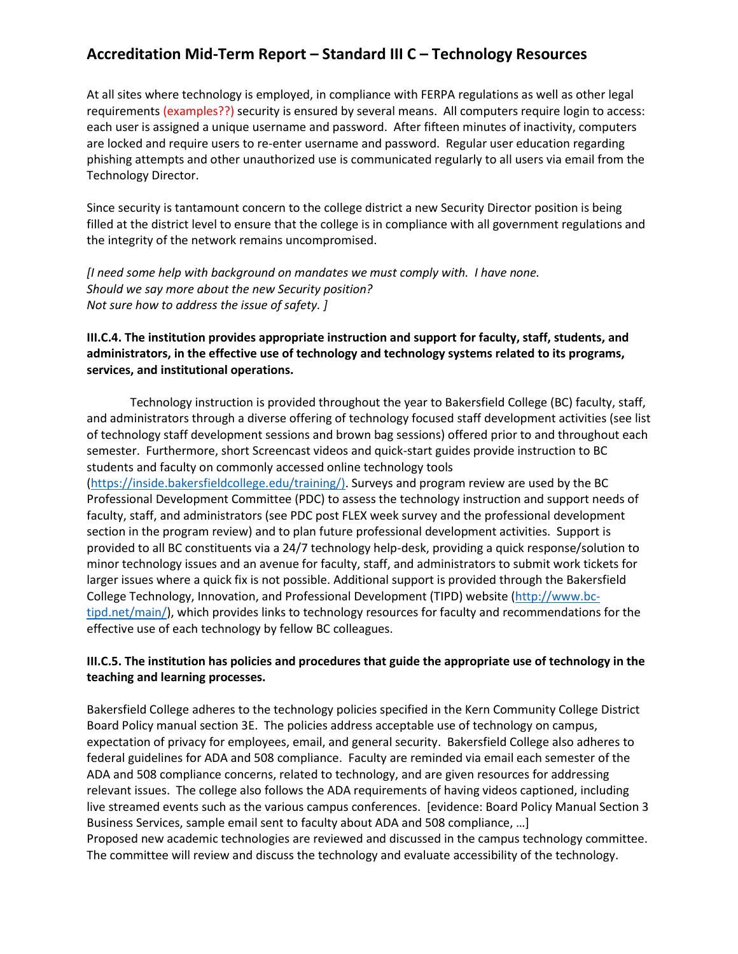# **Accreditation Mid-Term Report – Standard III C – Technology Resources**

At all sites where technology is employed, in compliance with FERPA regulations as well as other legal requirements (examples??) security is ensured by several means. All computers require login to access: each user is assigned a unique username and password. After fifteen minutes of inactivity, computers are locked and require users to re-enter username and password. Regular user education regarding phishing attempts and other unauthorized use is communicated regularly to all users via email from the Technology Director.

Since security is tantamount concern to the college district a new Security Director position is being filled at the district level to ensure that the college is in compliance with all government regulations and the integrity of the network remains uncompromised.

*[I need some help with background on mandates we must comply with. I have none. Should we say more about the new Security position? Not sure how to address the issue of safety. ]*

# **III.C.4. The institution provides appropriate instruction and support for faculty, staff, students, and administrators, in the effective use of technology and technology systems related to its programs, services, and institutional operations.**

Technology instruction is provided throughout the year to Bakersfield College (BC) faculty, staff, and administrators through a diverse offering of technology focused staff development activities (see list of technology staff development sessions and brown bag sessions) offered prior to and throughout each semester. Furthermore, short Screencast videos and quick-start guides provide instruction to BC students and faculty on commonly accessed online technology tools [\(https://inside.bakersfieldcollege.edu/training/\).](https://inside.bakersfieldcollege.edu/training/) Surveys and program review are used by the BC Professional Development Committee (PDC) to assess the technology instruction and support needs of faculty, staff, and administrators (see PDC post FLEX week survey and the professional development section in the program review) and to plan future professional development activities. Support is provided to all BC constituents via a 24/7 technology help-desk, providing a quick response/solution to minor technology issues and an avenue for faculty, staff, and administrators to submit work tickets for larger issues where a quick fix is not possible. Additional support is provided through the Bakersfield College Technology, Innovation, and Professional Development (TIPD) website [\(http://www.bc](http://www.bc-tipd.net/main/)[tipd.net/main/\)](http://www.bc-tipd.net/main/), which provides links to technology resources for faculty and recommendations for the effective use of each technology by fellow BC colleagues.

## **III.C.5. The institution has policies and procedures that guide the appropriate use of technology in the teaching and learning processes.**

Bakersfield College adheres to the technology policies specified in the Kern Community College District Board Policy manual section 3E. The policies address acceptable use of technology on campus, expectation of privacy for employees, email, and general security. Bakersfield College also adheres to federal guidelines for ADA and 508 compliance. Faculty are reminded via email each semester of the ADA and 508 compliance concerns, related to technology, and are given resources for addressing relevant issues. The college also follows the ADA requirements of having videos captioned, including live streamed events such as the various campus conferences. [evidence: Board Policy Manual Section 3 Business Services, sample email sent to faculty about ADA and 508 compliance, …] Proposed new academic technologies are reviewed and discussed in the campus technology committee.

The committee will review and discuss the technology and evaluate accessibility of the technology.